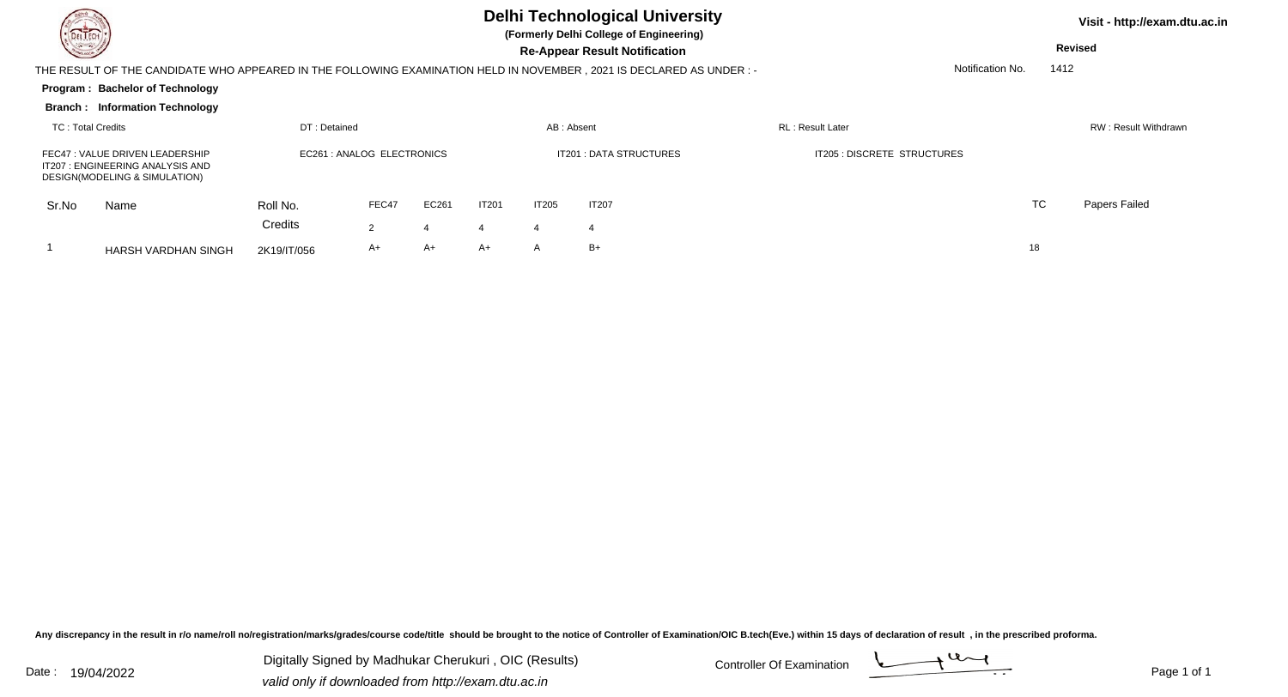| DEL TECH                                                                                                                                 |                                                                                                                                  |             |       |       |              |                                | <b>Delhi Technological University</b><br>(Formerly Delhi College of Engineering) |                             | Visit - http://exam.dtu.ac.in |                      |               |  |  |
|------------------------------------------------------------------------------------------------------------------------------------------|----------------------------------------------------------------------------------------------------------------------------------|-------------|-------|-------|--------------|--------------------------------|----------------------------------------------------------------------------------|-----------------------------|-------------------------------|----------------------|---------------|--|--|
| <u>in Si</u>                                                                                                                             |                                                                                                                                  |             |       |       |              |                                | <b>Re-Appear Result Notification</b>                                             |                             | Revised                       |                      |               |  |  |
| Notification No.<br>THE RESULT OF THE CANDIDATE WHO APPEARED IN THE FOLLOWING EXAMINATION HELD IN NOVEMBER, 2021 IS DECLARED AS UNDER :- |                                                                                                                                  |             |       |       |              |                                |                                                                                  |                             |                               |                      | 1412          |  |  |
|                                                                                                                                          | Program: Bachelor of Technology                                                                                                  |             |       |       |              |                                |                                                                                  |                             |                               |                      |               |  |  |
|                                                                                                                                          | <b>Branch: Information Technology</b>                                                                                            |             |       |       |              |                                |                                                                                  |                             |                               |                      |               |  |  |
|                                                                                                                                          | <b>TC: Total Credits</b><br>DT: Detained                                                                                         |             |       |       |              |                                | AB: Absent                                                                       | RL: Result Later            |                               | RW: Result Withdrawn |               |  |  |
|                                                                                                                                          | EC261 : ANALOG ELECTRONICS<br>FEC47: VALUE DRIVEN LEADERSHIP<br>IT207: ENGINEERING ANALYSIS AND<br>DESIGN(MODELING & SIMULATION) |             |       |       |              | <b>IT201 : DATA STRUCTURES</b> |                                                                                  | IT205 : DISCRETE STRUCTURES |                               |                      |               |  |  |
| Sr.No                                                                                                                                    | Name                                                                                                                             | Roll No.    | FEC47 | EC261 | <b>IT201</b> | <b>IT205</b>                   | <b>IT207</b>                                                                     |                             |                               | <b>TC</b>            | Papers Failed |  |  |
|                                                                                                                                          |                                                                                                                                  | Credits     | 2     |       |              | 4                              | $\overline{4}$                                                                   |                             |                               |                      |               |  |  |
|                                                                                                                                          | HARSH VARDHAN SINGH                                                                                                              | 2K19/IT/056 | A+    | A+    | A+           | A                              | $B+$                                                                             |                             | 18                            |                      |               |  |  |

Any discrepancy in the result in r/o name/roll no/registration/marks/grades/course code/title should be brought to the notice of Controller of Examination/OIC B.tech(Eve.) within 15 days of declaration of result ,in the p

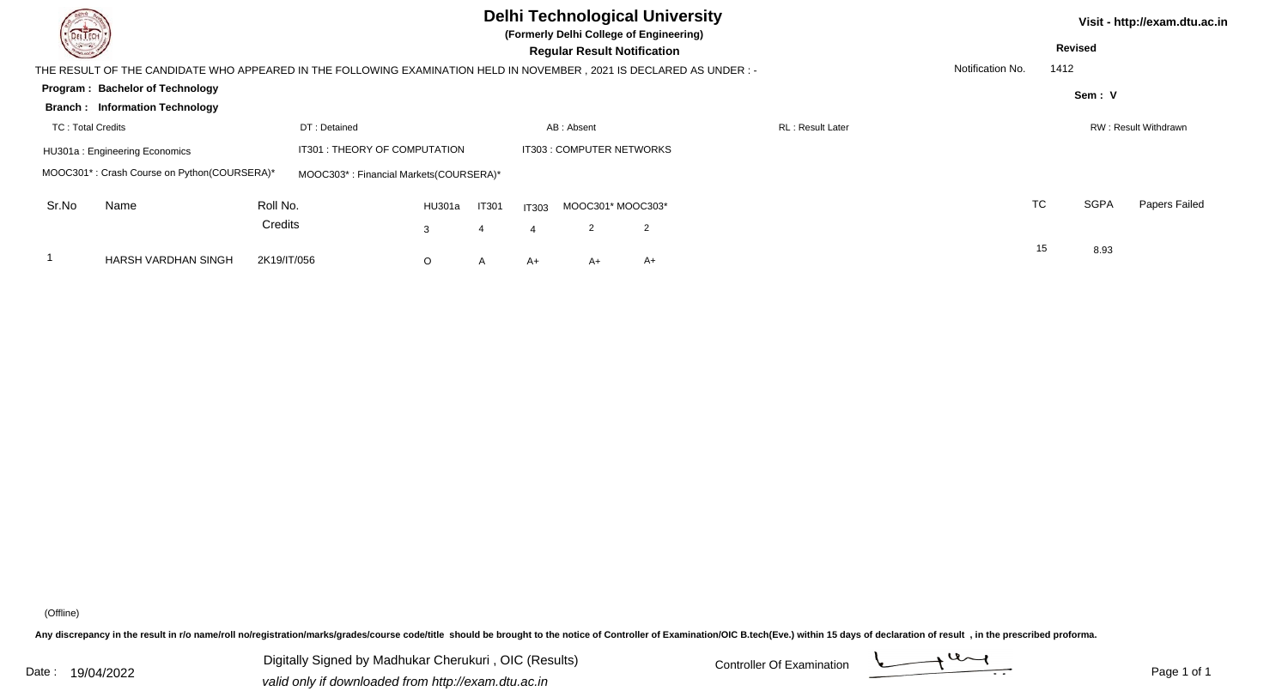| <b>Delhi Technological University</b><br><b>DELTECH</b><br>(Formerly Delhi College of Engineering)<br><u>para</u><br><b>Regular Result Notification</b> |                                                                                                                       |             |                                        |                           |              |              |    |                   |                  |  |  |                  | Visit - http://exam.dtu.ac.in<br><b>Revised</b> |                      |               |
|---------------------------------------------------------------------------------------------------------------------------------------------------------|-----------------------------------------------------------------------------------------------------------------------|-------------|----------------------------------------|---------------------------|--------------|--------------|----|-------------------|------------------|--|--|------------------|-------------------------------------------------|----------------------|---------------|
|                                                                                                                                                         | THE RESULT OF THE CANDIDATE WHO APPEARED IN THE FOLLOWING EXAMINATION HELD IN NOVEMBER , 2021 IS DECLARED AS UNDER :- |             |                                        |                           |              |              |    |                   |                  |  |  | Notification No. | 1412                                            |                      |               |
|                                                                                                                                                         | <b>Program: Bachelor of Technology</b>                                                                                |             |                                        |                           |              |              |    |                   |                  |  |  |                  |                                                 | Sem: V               |               |
|                                                                                                                                                         | <b>Branch: Information Technology</b>                                                                                 |             |                                        |                           |              |              |    |                   |                  |  |  |                  |                                                 |                      |               |
| <b>TC: Total Credits</b><br>DT: Detained                                                                                                                |                                                                                                                       |             |                                        |                           |              | AB: Absent   |    |                   | RL: Result Later |  |  |                  |                                                 | RW: Result Withdrawn |               |
| IT301 : THEORY OF COMPUTATION<br>HU301a: Engineering Economics                                                                                          |                                                                                                                       |             |                                        | IT303 : COMPUTER NETWORKS |              |              |    |                   |                  |  |  |                  |                                                 |                      |               |
|                                                                                                                                                         | MOOC301*: Crash Course on Python(COURSERA)*                                                                           |             | MOOC303*: Financial Markets(COURSERA)* |                           |              |              |    |                   |                  |  |  |                  |                                                 |                      |               |
| Sr.No                                                                                                                                                   | Name                                                                                                                  | Roll No.    |                                        | HU301a                    | <b>IT301</b> | <b>IT303</b> |    | MOOC301* MOOC303* |                  |  |  |                  | TC                                              | <b>SGPA</b>          | Papers Failed |
|                                                                                                                                                         |                                                                                                                       | Credits     |                                        | 3                         |              |              | 2  | $\overline{2}$    |                  |  |  |                  |                                                 |                      |               |
|                                                                                                                                                         | <b>HARSH VARDHAN SINGH</b>                                                                                            | 2K19/IT/056 |                                        | O                         | A            | A+           | A+ | A+                |                  |  |  |                  | 15                                              | 8.93                 |               |

(Offline)

Any discrepancy in the result in r/o name/roll no/registration/marks/grades/course code/title should be brought to the notice of Controller of Examination/OIC B.tech(Eve.) within 15 days of declaration of result ,in the p

Digitally Signed by Madhukar Cherukuri, OIC (Results) Controller Of Examination Controller Of Examination Digitally Signed by Madhukar Cherukuri , OIC (Results) valid only if downloaded from http://exam.dtu.ac.in

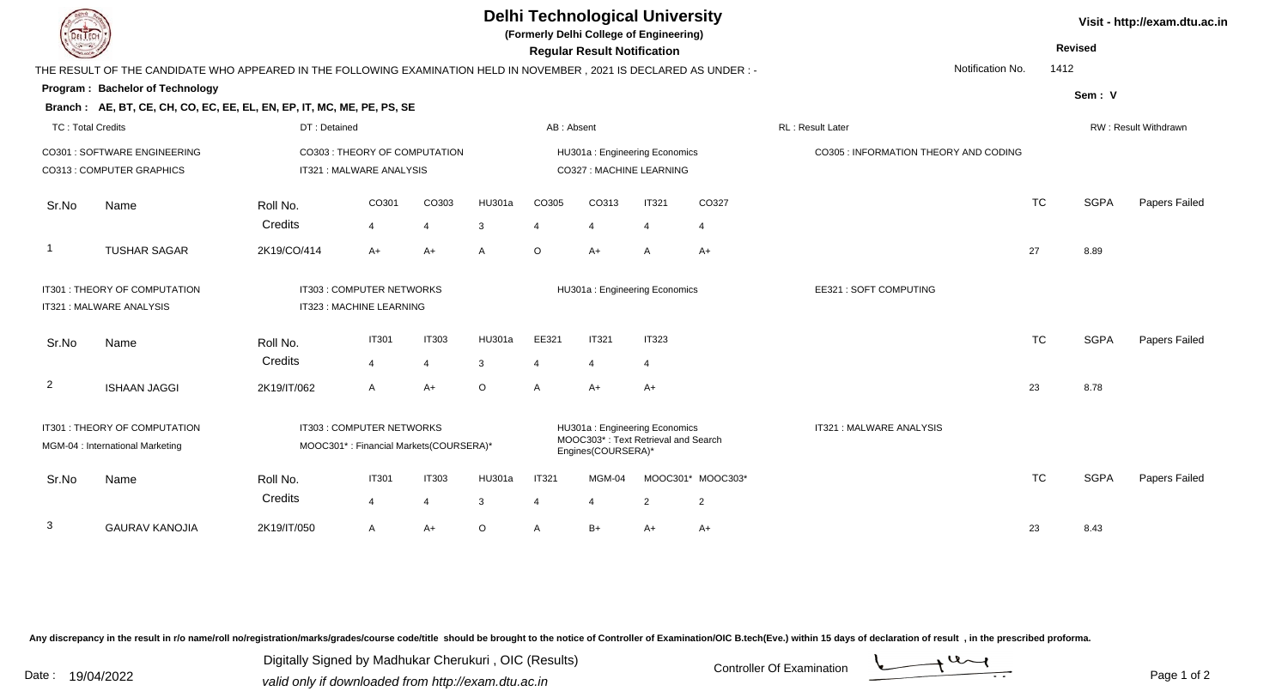| <b>DELTECH</b>                                                    |                                                                                                                     |                          |                                                                     |                |         |                          | <b>Regular Result Notification</b> | <b>Delhi Technological University</b><br>(Formerly Delhi College of Engineering) |                       |                                       |                      | <b>Revised</b> | Visit - http://exam.dtu.ac.in |
|-------------------------------------------------------------------|---------------------------------------------------------------------------------------------------------------------|--------------------------|---------------------------------------------------------------------|----------------|---------|--------------------------|------------------------------------|----------------------------------------------------------------------------------|-----------------------|---------------------------------------|----------------------|----------------|-------------------------------|
|                                                                   | THE RESULT OF THE CANDIDATE WHO APPEARED IN THE FOLLOWING EXAMINATION HELD IN NOVEMBER, 2021 IS DECLARED AS UNDER:- |                          |                                                                     |                |         |                          |                                    |                                                                                  |                       | Notification No.                      | 1412                 |                |                               |
|                                                                   | <b>Program: Bachelor of Technology</b>                                                                              |                          |                                                                     |                |         |                          |                                    |                                                                                  |                       |                                       |                      | Sem: V         |                               |
|                                                                   | Branch: AE, BT, CE, CH, CO, EC, EE, EL, EN, EP, IT, MC, ME, PE, PS, SE                                              |                          |                                                                     |                |         |                          |                                    |                                                                                  |                       |                                       |                      |                |                               |
| <b>TC: Total Credits</b>                                          |                                                                                                                     | DT: Detained             |                                                                     | AB: Absent     |         |                          |                                    | RL : Result Later                                                                |                       |                                       | RW: Result Withdrawn |                |                               |
| CO301 : SOFTWARE ENGINEERING                                      |                                                                                                                     |                          | CO303: THEORY OF COMPUTATION                                        |                |         |                          |                                    | HU301a: Engineering Economics                                                    |                       | CO305 : INFORMATION THEORY AND CODING |                      |                |                               |
|                                                                   | CO313 : COMPUTER GRAPHICS                                                                                           | IT321 : MALWARE ANALYSIS |                                                                     |                |         | CO327 : MACHINE LEARNING |                                    |                                                                                  |                       |                                       |                      |                |                               |
| Sr.No                                                             | Name                                                                                                                | Roll No.                 | CO301                                                               | CO303          | HU301a  | CO305                    | CO313                              | <b>IT321</b>                                                                     | CO327                 |                                       | <b>TC</b>            | <b>SGPA</b>    | Papers Failed                 |
|                                                                   |                                                                                                                     | Credits                  | $\overline{4}$                                                      | $\overline{4}$ | 3       | $\overline{4}$           | 4                                  | $\overline{4}$                                                                   | 4                     |                                       |                      |                |                               |
| -1                                                                | <b>TUSHAR SAGAR</b>                                                                                                 | 2K19/CO/414              | $A+$                                                                | $A+$           | A       | $\circ$                  | A+                                 | $\overline{A}$                                                                   | $A+$                  |                                       | 27                   | 8.89           |                               |
| IT301: THEORY OF COMPUTATION<br>IT321 : MALWARE ANALYSIS          |                                                                                                                     |                          | IT303 : COMPUTER NETWORKS<br>IT323 : MACHINE LEARNING               |                |         |                          | HU301a: Engineering Economics      |                                                                                  | EE321: SOFT COMPUTING |                                       |                      |                |                               |
| Sr.No                                                             | Name                                                                                                                | Roll No.                 | <b>IT301</b>                                                        | <b>IT303</b>   | HU301a  | EE321                    | <b>IT321</b>                       | <b>IT323</b>                                                                     |                       |                                       | <b>TC</b>            | <b>SGPA</b>    | Papers Failed                 |
|                                                                   |                                                                                                                     | Credits                  | $\overline{4}$                                                      | $\overline{4}$ | 3       | $\overline{4}$           | 4                                  | $\overline{4}$                                                                   |                       |                                       |                      |                |                               |
| $\overline{2}$                                                    | <b>ISHAAN JAGGI</b>                                                                                                 | 2K19/IT/062              | $\overline{A}$                                                      | $A+$           | $\circ$ | A                        | A+                                 | $A+$                                                                             |                       |                                       | 23                   | 8.78           |                               |
| IT301 : THEORY OF COMPUTATION<br>MGM-04 : International Marketing |                                                                                                                     |                          | IT303 : COMPUTER NETWORKS<br>MOOC301*: Financial Markets(COURSERA)* |                |         |                          | Engines(COURSERA)*                 | HU301a: Engineering Economics<br>MOOC303*: Text Retrieval and Search             |                       | IT321 : MALWARE ANALYSIS              |                      |                |                               |
| Sr.No                                                             | Name                                                                                                                | Roll No.<br>Credits      | <b>IT301</b>                                                        | <b>IT303</b>   | HU301a  | <b>IT321</b>             | MGM-04                             | MOOC301*                                                                         | MOOC303*              |                                       | <b>TC</b>            | <b>SGPA</b>    | Papers Failed                 |
|                                                                   |                                                                                                                     |                          | $\overline{4}$                                                      | 4              | 3       | $\boldsymbol{\Delta}$    |                                    | $\overline{2}$                                                                   | 2                     |                                       |                      |                |                               |
| 3                                                                 | <b>GAURAV KANOJIA</b>                                                                                               | 2K19/IT/050              | A                                                                   | A+             | $\circ$ | A                        | $B+$                               | $A+$                                                                             | $A+$                  |                                       | 23                   | 8.43           |                               |

Any discrepancy in the result in r/o name/roll no/registration/marks/grades/course code/title should be brought to the notice of Controller of Examination/OIC B.tech(Eve.) within 15 days of declaration of result ,in the p

Digitally Signed by Madhukar Cherukuri, OIC (Results)<br>Date : 19/04/2022 valid only if downloaded from http://oxam.dtu.ac.in Digitally Signed by Madhukar Cherukuri , OIC (Results)

valid only if downloaded from http://exam.dtu.ac.in